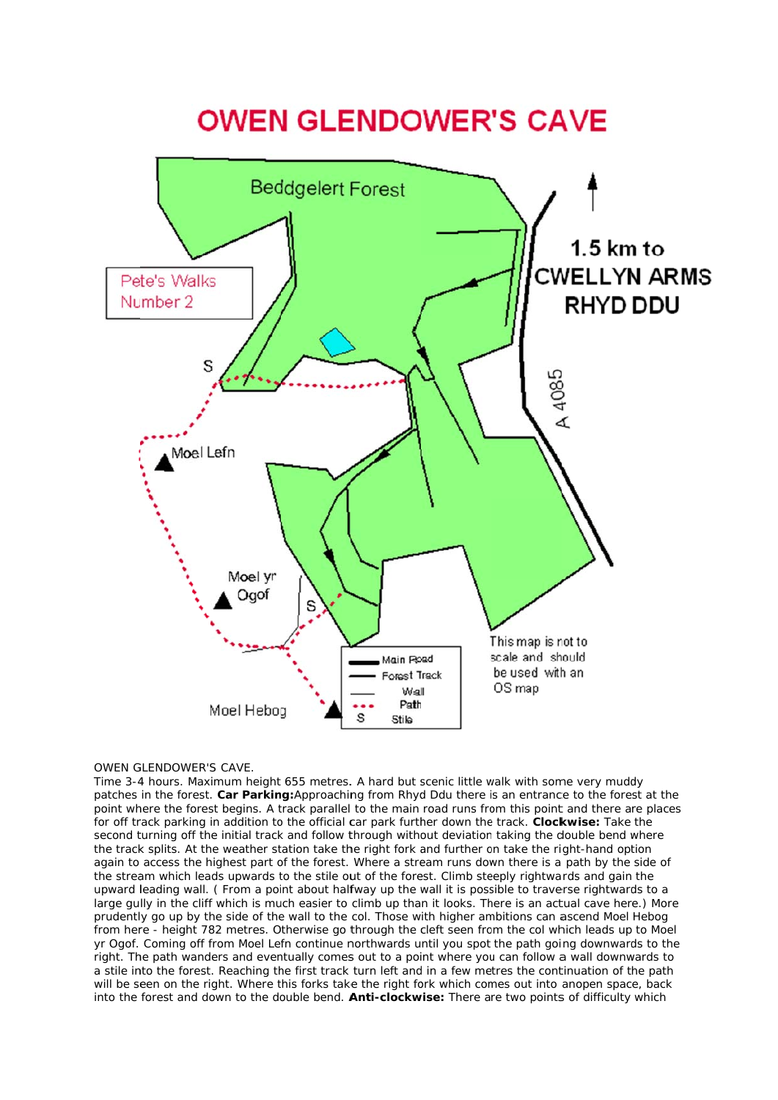

## OWEN GLENDOWER'S CAVE.

Time 3-4 hours. Maximum height 655 metres. A hard but scenic little walk with some very muddy patches in the forest. Car Parking: Approaching from Rhyd Ddu there is an entrance to the forest at the point where the forest begins. A track parallel to the main road runs from this point and there are places for off track parking in addition to the official car park further down the track. **Clockwise:** Take the second turning off the initial track and follow through without deviation taking the double bend where the track splits. At the weather station take the right fork and further on take the right-hand option again to access the highest part of the forest. Where a stream runs down there is a path by the side of the stream which leads upwards to the stile out of the forest. Climb steeply rightwards and gain the upward leading wall. (From a point about halfway up the wall it is possible to traverse rightwards to a large gully in the cliff which is much easier to climb up than it looks. There is an actual cave here.) More prudently go up by the side of the wall to the col. Those with higher ambitions can ascend Moel Hebog from here - height 782 metres. Otherwise go through the cleft seen from the col which leads up to Moel yr Ogof. Coming off from Moel Lefn continue northwards until you spot the path going downwards to the right. The path wanders and eventually comes out to a point where you can follow a wall downwards to a stile into the forest. Reaching the first track turn left and in a few metres the continuation of the path will be seen on the right. Where this forks take the right fork which comes out into anopen space, back into the forest and down to the double bend. **Anti-clockwise:** There are two points of difficulty which